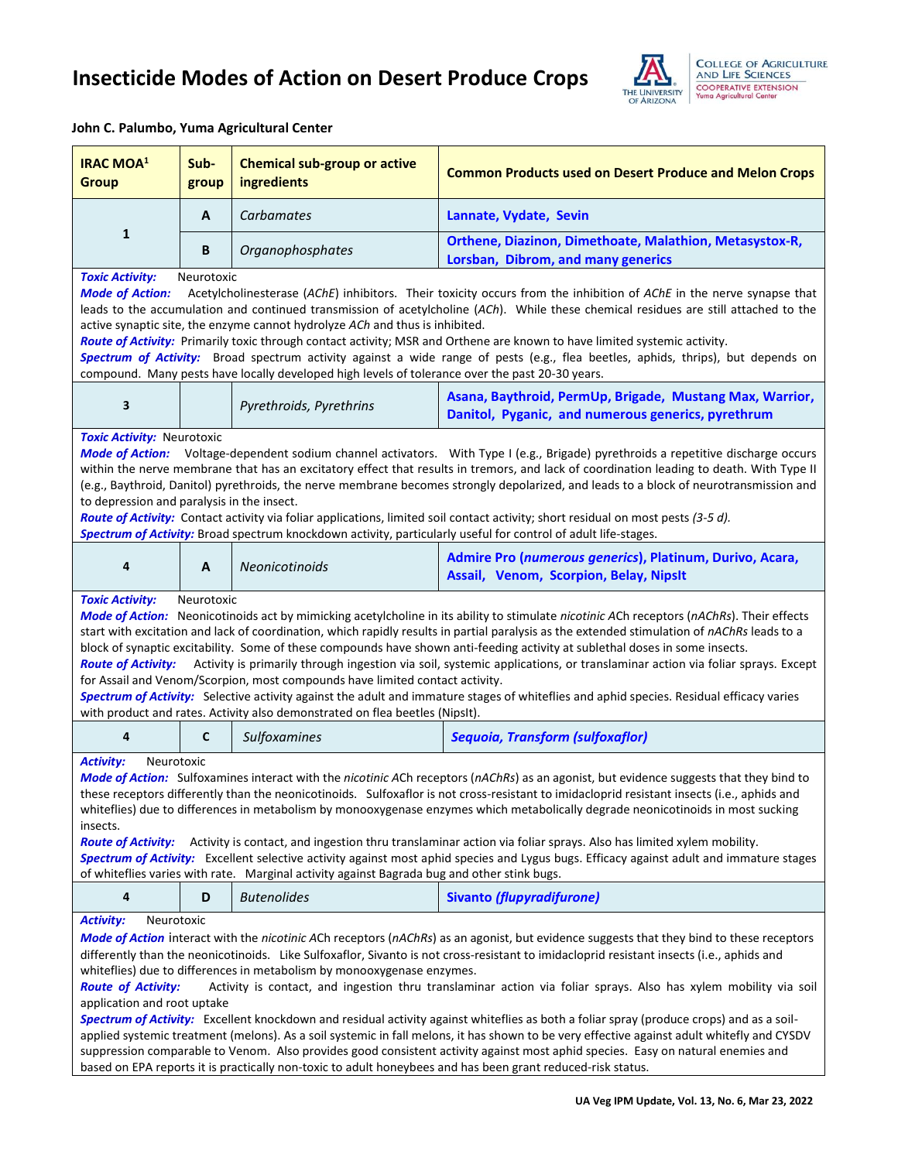

## **John C. Palumbo, Yuma Agricultural Center**

| <b>IRAC MOA<sup>1</sup></b><br><b>Group</b>                                                                                                                                                                                                                                                                                                                                                                                                                                                                                                                                                                                                                                                                                                                                                                                                                                                                                                                                                                                                                                                                                  | Sub-<br>group | <b>Chemical sub-group or active</b><br>ingredients | <b>Common Products used on Desert Produce and Melon Crops</b>                                                  |  |  |  |
|------------------------------------------------------------------------------------------------------------------------------------------------------------------------------------------------------------------------------------------------------------------------------------------------------------------------------------------------------------------------------------------------------------------------------------------------------------------------------------------------------------------------------------------------------------------------------------------------------------------------------------------------------------------------------------------------------------------------------------------------------------------------------------------------------------------------------------------------------------------------------------------------------------------------------------------------------------------------------------------------------------------------------------------------------------------------------------------------------------------------------|---------------|----------------------------------------------------|----------------------------------------------------------------------------------------------------------------|--|--|--|
| $\mathbf{1}$                                                                                                                                                                                                                                                                                                                                                                                                                                                                                                                                                                                                                                                                                                                                                                                                                                                                                                                                                                                                                                                                                                                 | A             | Carbamates                                         | Lannate, Vydate, Sevin                                                                                         |  |  |  |
|                                                                                                                                                                                                                                                                                                                                                                                                                                                                                                                                                                                                                                                                                                                                                                                                                                                                                                                                                                                                                                                                                                                              | B             | Organophosphates                                   | Orthene, Diazinon, Dimethoate, Malathion, Metasystox-R,<br>Lorsban, Dibrom, and many generics                  |  |  |  |
| <b>Toxic Activity:</b><br>Neurotoxic<br><b>Mode of Action:</b><br>Acetylcholinesterase (AChE) inhibitors. Their toxicity occurs from the inhibition of AChE in the nerve synapse that<br>leads to the accumulation and continued transmission of acetylcholine (ACh). While these chemical residues are still attached to the<br>active synaptic site, the enzyme cannot hydrolyze ACh and thus is inhibited.<br>Route of Activity: Primarily toxic through contact activity; MSR and Orthene are known to have limited systemic activity.<br>Spectrum of Activity: Broad spectrum activity against a wide range of pests (e.g., flea beetles, aphids, thrips), but depends on<br>compound. Many pests have locally developed high levels of tolerance over the past 20-30 years.                                                                                                                                                                                                                                                                                                                                            |               |                                                    |                                                                                                                |  |  |  |
| 3                                                                                                                                                                                                                                                                                                                                                                                                                                                                                                                                                                                                                                                                                                                                                                                                                                                                                                                                                                                                                                                                                                                            |               | Pyrethroids, Pyrethrins                            | Asana, Baythroid, PermUp, Brigade, Mustang Max, Warrior,<br>Danitol, Pyganic, and numerous generics, pyrethrum |  |  |  |
| <b>Toxic Activity: Neurotoxic</b><br>Mode of Action: Voltage-dependent sodium channel activators. With Type I (e.g., Brigade) pyrethroids a repetitive discharge occurs<br>within the nerve membrane that has an excitatory effect that results in tremors, and lack of coordination leading to death. With Type II<br>(e.g., Baythroid, Danitol) pyrethroids, the nerve membrane becomes strongly depolarized, and leads to a block of neurotransmission and<br>to depression and paralysis in the insect.<br>Route of Activity: Contact activity via foliar applications, limited soil contact activity; short residual on most pests (3-5 d).<br>Spectrum of Activity: Broad spectrum knockdown activity, particularly useful for control of adult life-stages.                                                                                                                                                                                                                                                                                                                                                           |               |                                                    |                                                                                                                |  |  |  |
| 4                                                                                                                                                                                                                                                                                                                                                                                                                                                                                                                                                                                                                                                                                                                                                                                                                                                                                                                                                                                                                                                                                                                            | A             | Neonicotinoids                                     | Admire Pro (numerous generics), Platinum, Durivo, Acara,<br>Assail, Venom, Scorpion, Belay, NipsIt             |  |  |  |
| <b>Toxic Activity:</b><br>Neurotoxic<br>Mode of Action: Neonicotinoids act by mimicking acetylcholine in its ability to stimulate nicotinic ACh receptors (nAChRs). Their effects<br>start with excitation and lack of coordination, which rapidly results in partial paralysis as the extended stimulation of nAChRs leads to a<br>block of synaptic excitability. Some of these compounds have shown anti-feeding activity at sublethal doses in some insects.<br>Activity is primarily through ingestion via soil, systemic applications, or translaminar action via foliar sprays. Except<br><b>Route of Activity:</b><br>for Assail and Venom/Scorpion, most compounds have limited contact activity.<br>Spectrum of Activity: Selective activity against the adult and immature stages of whiteflies and aphid species. Residual efficacy varies<br>with product and rates. Activity also demonstrated on flea beetles (NipsIt).                                                                                                                                                                                       |               |                                                    |                                                                                                                |  |  |  |
| 4                                                                                                                                                                                                                                                                                                                                                                                                                                                                                                                                                                                                                                                                                                                                                                                                                                                                                                                                                                                                                                                                                                                            | C             | Sulfoxamines                                       | <b>Sequoia, Transform (sulfoxaflor)</b>                                                                        |  |  |  |
| <b>Activity:</b><br>Neurotoxic<br>Mode of Action: Sulfoxamines interact with the nicotinic ACh receptors (nAChRs) as an agonist, but evidence suggests that they bind to<br>these receptors differently than the neonicotinoids. Sulfoxaflor is not cross-resistant to imidacloprid resistant insects (i.e., aphids and<br>whiteflies) due to differences in metabolism by monooxygenase enzymes which metabolically degrade neonicotinoids in most sucking<br>insects.<br>Activity is contact, and ingestion thru translaminar action via foliar sprays. Also has limited xylem mobility.<br><b>Route of Activity:</b><br>Spectrum of Activity: Excellent selective activity against most aphid species and Lygus bugs. Efficacy against adult and immature stages<br>of whiteflies varies with rate. Marginal activity against Bagrada bug and other stink bugs.                                                                                                                                                                                                                                                           |               |                                                    |                                                                                                                |  |  |  |
| 4                                                                                                                                                                                                                                                                                                                                                                                                                                                                                                                                                                                                                                                                                                                                                                                                                                                                                                                                                                                                                                                                                                                            | D             | <b>Butenolides</b>                                 | <b>Sivanto (flupyradifurone)</b>                                                                               |  |  |  |
| <b>Activity:</b><br>Neurotoxic<br>Mode of Action interact with the nicotinic ACh receptors (nAChRs) as an agonist, but evidence suggests that they bind to these receptors<br>differently than the neonicotinoids. Like Sulfoxaflor, Sivanto is not cross-resistant to imidacloprid resistant insects (i.e., aphids and<br>whiteflies) due to differences in metabolism by monooxygenase enzymes.<br><b>Route of Activity:</b><br>Activity is contact, and ingestion thru translaminar action via foliar sprays. Also has xylem mobility via soil<br>application and root uptake<br>Spectrum of Activity: Excellent knockdown and residual activity against whiteflies as both a foliar spray (produce crops) and as a soil-<br>applied systemic treatment (melons). As a soil systemic in fall melons, it has shown to be very effective against adult whitefly and CYSDV<br>suppression comparable to Venom. Also provides good consistent activity against most aphid species. Easy on natural enemies and<br>based on EPA reports it is practically non-toxic to adult honeybees and has been grant reduced-risk status. |               |                                                    |                                                                                                                |  |  |  |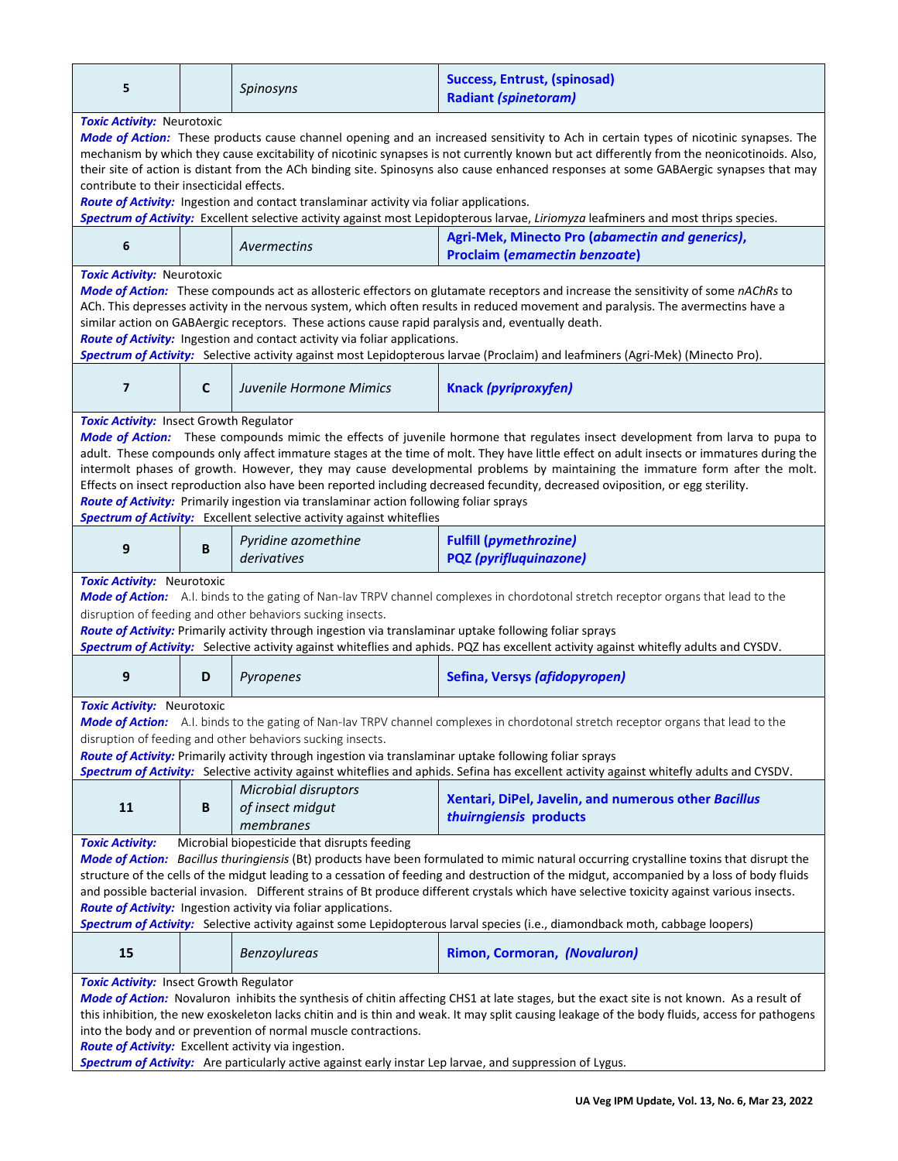| 5                                                                                                                                                                                                                                                                                                                                                                                                                                                                                                                                                                                                                                                                                                                                                               |              | Spinosyns                                                    | <b>Success, Entrust, (spinosad)</b><br><b>Radiant (spinetoram)</b>                      |  |  |
|-----------------------------------------------------------------------------------------------------------------------------------------------------------------------------------------------------------------------------------------------------------------------------------------------------------------------------------------------------------------------------------------------------------------------------------------------------------------------------------------------------------------------------------------------------------------------------------------------------------------------------------------------------------------------------------------------------------------------------------------------------------------|--------------|--------------------------------------------------------------|-----------------------------------------------------------------------------------------|--|--|
| Toxic Activity: Neurotoxic<br>Mode of Action: These products cause channel opening and an increased sensitivity to Ach in certain types of nicotinic synapses. The<br>mechanism by which they cause excitability of nicotinic synapses is not currently known but act differently from the neonicotinoids. Also,<br>their site of action is distant from the ACh binding site. Spinosyns also cause enhanced responses at some GABAergic synapses that may<br>contribute to their insecticidal effects.<br>Route of Activity: Ingestion and contact translaminar activity via foliar applications.<br>Spectrum of Activity: Excellent selective activity against most Lepidopterous larvae, Liriomyza leafminers and most thrips species.                       |              |                                                              |                                                                                         |  |  |
| 6                                                                                                                                                                                                                                                                                                                                                                                                                                                                                                                                                                                                                                                                                                                                                               |              | Avermectins                                                  | Agri-Mek, Minecto Pro (abamectin and generics),<br><b>Proclaim (emamectin benzoate)</b> |  |  |
| Toxic Activity: Neurotoxic<br>Mode of Action: These compounds act as allosteric effectors on glutamate receptors and increase the sensitivity of some nAChRs to<br>ACh. This depresses activity in the nervous system, which often results in reduced movement and paralysis. The avermectins have a<br>similar action on GABAergic receptors. These actions cause rapid paralysis and, eventually death.<br>Route of Activity: Ingestion and contact activity via foliar applications.<br>Spectrum of Activity: Selective activity against most Lepidopterous larvae (Proclaim) and leafminers (Agri-Mek) (Minecto Pro).                                                                                                                                       |              |                                                              |                                                                                         |  |  |
| $\overline{7}$                                                                                                                                                                                                                                                                                                                                                                                                                                                                                                                                                                                                                                                                                                                                                  | $\mathsf{C}$ | Juvenile Hormone Mimics                                      | Knack (pyriproxyfen)                                                                    |  |  |
| <b>Toxic Activity: Insect Growth Regulator</b><br>Mode of Action: These compounds mimic the effects of juvenile hormone that regulates insect development from larva to pupa to<br>adult. These compounds only affect immature stages at the time of molt. They have little effect on adult insects or immatures during the<br>intermolt phases of growth. However, they may cause developmental problems by maintaining the immature form after the molt.<br>Effects on insect reproduction also have been reported including decreased fecundity, decreased oviposition, or egg sterility.<br>Route of Activity: Primarily ingestion via translaminar action following foliar sprays<br>Spectrum of Activity: Excellent selective activity against whiteflies |              |                                                              |                                                                                         |  |  |
| 9                                                                                                                                                                                                                                                                                                                                                                                                                                                                                                                                                                                                                                                                                                                                                               | B            | Pyridine azomethine<br>derivatives                           | <b>Fulfill (pymethrozine)</b><br><b>PQZ</b> (pyrifluquinazone)                          |  |  |
| <b>Toxic Activity: Neurotoxic</b><br>Mode of Action: A.I. binds to the gating of Nan-Iav TRPV channel complexes in chordotonal stretch receptor organs that lead to the<br>disruption of feeding and other behaviors sucking insects.<br>Route of Activity: Primarily activity through ingestion via translaminar uptake following foliar sprays<br>Spectrum of Activity: Selective activity against whiteflies and aphids. PQZ has excellent activity against whitefly adults and CYSDV.                                                                                                                                                                                                                                                                       |              |                                                              |                                                                                         |  |  |
| 9                                                                                                                                                                                                                                                                                                                                                                                                                                                                                                                                                                                                                                                                                                                                                               | D            | Pyropenes                                                    | Sefina, Versys (afidopyropen)                                                           |  |  |
| Toxic Activity: Neurotoxic<br>Mode of Action: A.I. binds to the gating of Nan-Iav TRPV channel complexes in chordotonal stretch receptor organs that lead to the<br>disruption of feeding and other behaviors sucking insects.<br>Route of Activity: Primarily activity through ingestion via translaminar uptake following foliar sprays<br>Spectrum of Activity: Selective activity against whiteflies and aphids. Sefina has excellent activity against whitefly adults and CYSDV.                                                                                                                                                                                                                                                                           |              |                                                              |                                                                                         |  |  |
| 11                                                                                                                                                                                                                                                                                                                                                                                                                                                                                                                                                                                                                                                                                                                                                              | B            | <b>Microbial disruptors</b><br>of insect midgut<br>membranes | Xentari, DiPel, Javelin, and numerous other Bacillus<br>thuirngiensis products          |  |  |
| Microbial biopesticide that disrupts feeding<br><b>Toxic Activity:</b><br>Mode of Action: Bacillus thuringiensis (Bt) products have been formulated to mimic natural occurring crystalline toxins that disrupt the<br>structure of the cells of the midgut leading to a cessation of feeding and destruction of the midgut, accompanied by a loss of body fluids<br>and possible bacterial invasion. Different strains of Bt produce different crystals which have selective toxicity against various insects.<br>Route of Activity: Ingestion activity via foliar applications.<br>Spectrum of Activity: Selective activity against some Lepidopterous larval species (i.e., diamondback moth, cabbage loopers)                                                |              |                                                              |                                                                                         |  |  |
| 15                                                                                                                                                                                                                                                                                                                                                                                                                                                                                                                                                                                                                                                                                                                                                              |              | Benzoylureas                                                 | Rimon, Cormoran, (Novaluron)                                                            |  |  |
| <b>Toxic Activity: Insect Growth Regulator</b><br>Mode of Action: Novaluron inhibits the synthesis of chitin affecting CHS1 at late stages, but the exact site is not known. As a result of<br>this inhibition, the new exoskeleton lacks chitin and is thin and weak. It may split causing leakage of the body fluids, access for pathogens<br>into the body and or prevention of normal muscle contractions.<br>Route of Activity: Excellent activity via ingestion.<br>Spectrum of Activity: Are particularly active against early instar Lep larvae, and suppression of Lygus.                                                                                                                                                                              |              |                                                              |                                                                                         |  |  |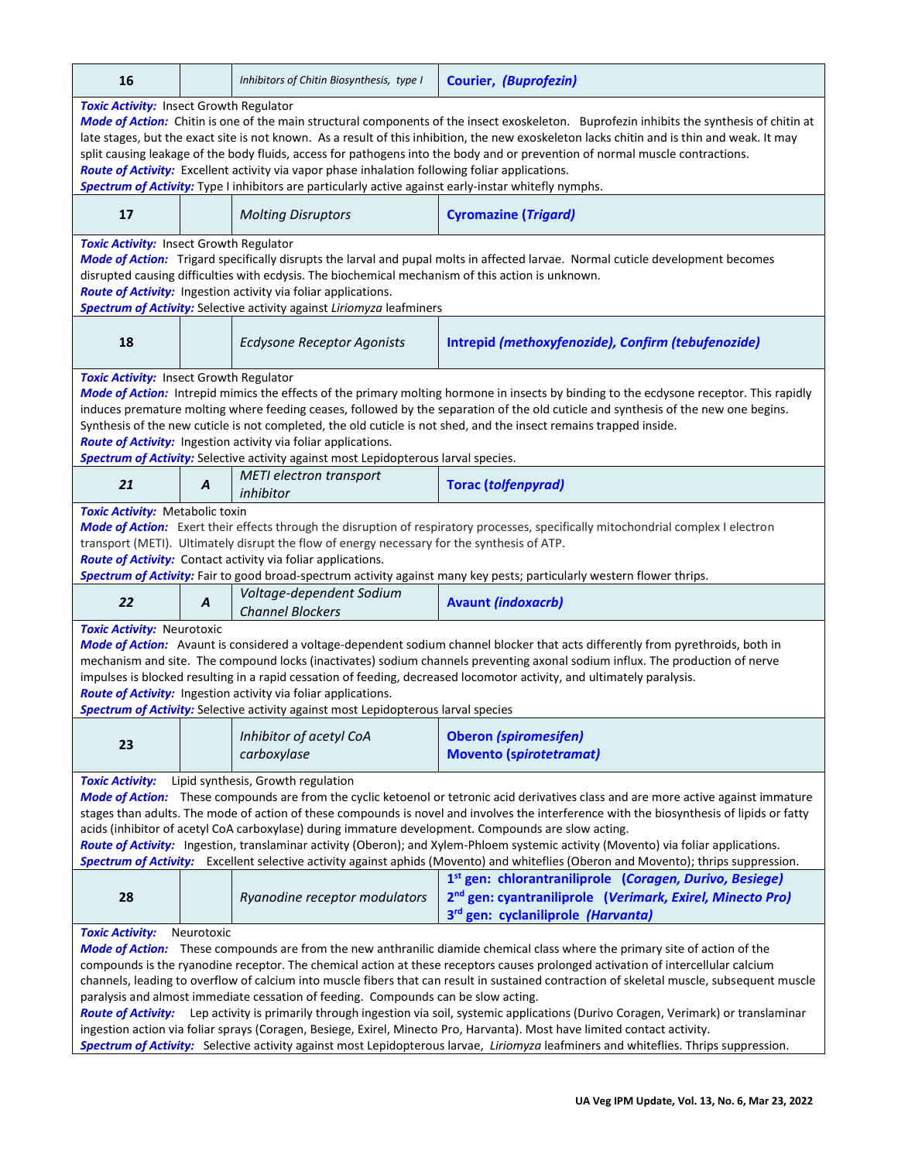| 16                                                                                                                                                                                                                                               |                                                                                                                                             | Inhibitors of Chitin Biosynthesis, type I                                                                                               | <b>Courier, (Buprofezin)</b>                                                                                                              |  |  |  |  |  |
|--------------------------------------------------------------------------------------------------------------------------------------------------------------------------------------------------------------------------------------------------|---------------------------------------------------------------------------------------------------------------------------------------------|-----------------------------------------------------------------------------------------------------------------------------------------|-------------------------------------------------------------------------------------------------------------------------------------------|--|--|--|--|--|
|                                                                                                                                                                                                                                                  | <b>Toxic Activity: Insect Growth Regulator</b>                                                                                              |                                                                                                                                         |                                                                                                                                           |  |  |  |  |  |
|                                                                                                                                                                                                                                                  |                                                                                                                                             |                                                                                                                                         | Mode of Action: Chitin is one of the main structural components of the insect exoskeleton. Buprofezin inhibits the synthesis of chitin at |  |  |  |  |  |
|                                                                                                                                                                                                                                                  | late stages, but the exact site is not known. As a result of this inhibition, the new exoskeleton lacks chitin and is thin and weak. It may |                                                                                                                                         |                                                                                                                                           |  |  |  |  |  |
|                                                                                                                                                                                                                                                  | split causing leakage of the body fluids, access for pathogens into the body and or prevention of normal muscle contractions.               |                                                                                                                                         |                                                                                                                                           |  |  |  |  |  |
|                                                                                                                                                                                                                                                  |                                                                                                                                             | Route of Activity: Excellent activity via vapor phase inhalation following foliar applications.                                         |                                                                                                                                           |  |  |  |  |  |
|                                                                                                                                                                                                                                                  |                                                                                                                                             | Spectrum of Activity: Type I inhibitors are particularly active against early-instar whitefly nymphs.                                   |                                                                                                                                           |  |  |  |  |  |
| 17                                                                                                                                                                                                                                               |                                                                                                                                             | <b>Molting Disruptors</b>                                                                                                               | <b>Cyromazine (Trigard)</b>                                                                                                               |  |  |  |  |  |
| <b>Toxic Activity: Insect Growth Regulator</b>                                                                                                                                                                                                   |                                                                                                                                             |                                                                                                                                         |                                                                                                                                           |  |  |  |  |  |
|                                                                                                                                                                                                                                                  |                                                                                                                                             |                                                                                                                                         | Mode of Action: Trigard specifically disrupts the larval and pupal molts in affected larvae. Normal cuticle development becomes           |  |  |  |  |  |
|                                                                                                                                                                                                                                                  |                                                                                                                                             | disrupted causing difficulties with ecdysis. The biochemical mechanism of this action is unknown.                                       |                                                                                                                                           |  |  |  |  |  |
|                                                                                                                                                                                                                                                  |                                                                                                                                             | Route of Activity: Ingestion activity via foliar applications.<br>Spectrum of Activity: Selective activity against Liriomyza leafminers |                                                                                                                                           |  |  |  |  |  |
|                                                                                                                                                                                                                                                  |                                                                                                                                             |                                                                                                                                         |                                                                                                                                           |  |  |  |  |  |
| 18                                                                                                                                                                                                                                               |                                                                                                                                             | <b>Ecdysone Receptor Agonists</b>                                                                                                       | Intrepid (methoxyfenozide), Confirm (tebufenozide)                                                                                        |  |  |  |  |  |
| <b>Toxic Activity: Insect Growth Regulator</b>                                                                                                                                                                                                   |                                                                                                                                             |                                                                                                                                         |                                                                                                                                           |  |  |  |  |  |
|                                                                                                                                                                                                                                                  |                                                                                                                                             |                                                                                                                                         | Mode of Action: Intrepid mimics the effects of the primary molting hormone in insects by binding to the ecdysone receptor. This rapidly   |  |  |  |  |  |
|                                                                                                                                                                                                                                                  |                                                                                                                                             |                                                                                                                                         | induces premature molting where feeding ceases, followed by the separation of the old cuticle and synthesis of the new one begins.        |  |  |  |  |  |
|                                                                                                                                                                                                                                                  |                                                                                                                                             |                                                                                                                                         | Synthesis of the new cuticle is not completed, the old cuticle is not shed, and the insect remains trapped inside.                        |  |  |  |  |  |
|                                                                                                                                                                                                                                                  |                                                                                                                                             | Route of Activity: Ingestion activity via foliar applications.                                                                          |                                                                                                                                           |  |  |  |  |  |
|                                                                                                                                                                                                                                                  |                                                                                                                                             | Spectrum of Activity: Selective activity against most Lepidopterous larval species.                                                     |                                                                                                                                           |  |  |  |  |  |
| 21                                                                                                                                                                                                                                               | $\boldsymbol{A}$                                                                                                                            | <b>METI</b> electron transport<br>inhibitor                                                                                             | <b>Torac (tolfenpyrad)</b>                                                                                                                |  |  |  |  |  |
| <b>Toxic Activity: Metabolic toxin</b>                                                                                                                                                                                                           |                                                                                                                                             |                                                                                                                                         |                                                                                                                                           |  |  |  |  |  |
|                                                                                                                                                                                                                                                  |                                                                                                                                             |                                                                                                                                         | Mode of Action: Exert their effects through the disruption of respiratory processes, specifically mitochondrial complex I electron        |  |  |  |  |  |
|                                                                                                                                                                                                                                                  |                                                                                                                                             | transport (METI). Ultimately disrupt the flow of energy necessary for the synthesis of ATP.                                             |                                                                                                                                           |  |  |  |  |  |
|                                                                                                                                                                                                                                                  |                                                                                                                                             | Route of Activity: Contact activity via foliar applications.                                                                            |                                                                                                                                           |  |  |  |  |  |
|                                                                                                                                                                                                                                                  |                                                                                                                                             |                                                                                                                                         | Spectrum of Activity: Fair to good broad-spectrum activity against many key pests; particularly western flower thrips.                    |  |  |  |  |  |
|                                                                                                                                                                                                                                                  |                                                                                                                                             | Voltage-dependent Sodium                                                                                                                |                                                                                                                                           |  |  |  |  |  |
| 22                                                                                                                                                                                                                                               | A                                                                                                                                           | <b>Channel Blockers</b>                                                                                                                 | <b>Avaunt (indoxacrb)</b>                                                                                                                 |  |  |  |  |  |
| <b>Toxic Activity: Neurotoxic</b>                                                                                                                                                                                                                |                                                                                                                                             |                                                                                                                                         |                                                                                                                                           |  |  |  |  |  |
|                                                                                                                                                                                                                                                  |                                                                                                                                             |                                                                                                                                         | Mode of Action: Avaunt is considered a voltage-dependent sodium channel blocker that acts differently from pyrethroids, both in           |  |  |  |  |  |
|                                                                                                                                                                                                                                                  | mechanism and site. The compound locks (inactivates) sodium channels preventing axonal sodium influx. The production of nerve               |                                                                                                                                         |                                                                                                                                           |  |  |  |  |  |
|                                                                                                                                                                                                                                                  |                                                                                                                                             |                                                                                                                                         | impulses is blocked resulting in a rapid cessation of feeding, decreased locomotor activity, and ultimately paralysis.                    |  |  |  |  |  |
|                                                                                                                                                                                                                                                  |                                                                                                                                             | Route of Activity: Ingestion activity via foliar applications.                                                                          |                                                                                                                                           |  |  |  |  |  |
|                                                                                                                                                                                                                                                  |                                                                                                                                             | Spectrum of Activity: Selective activity against most Lepidopterous larval species                                                      |                                                                                                                                           |  |  |  |  |  |
|                                                                                                                                                                                                                                                  |                                                                                                                                             | Inhibitor of acetyl CoA                                                                                                                 | <b>Oberon (spiromesifen)</b>                                                                                                              |  |  |  |  |  |
| 23                                                                                                                                                                                                                                               |                                                                                                                                             | carboxylase                                                                                                                             | <b>Movento (spirotetramat)</b>                                                                                                            |  |  |  |  |  |
|                                                                                                                                                                                                                                                  |                                                                                                                                             |                                                                                                                                         |                                                                                                                                           |  |  |  |  |  |
| Lipid synthesis, Growth regulation<br><b>Toxic Activity:</b>                                                                                                                                                                                     |                                                                                                                                             |                                                                                                                                         |                                                                                                                                           |  |  |  |  |  |
|                                                                                                                                                                                                                                                  |                                                                                                                                             |                                                                                                                                         | Mode of Action: These compounds are from the cyclic ketoenol or tetronic acid derivatives class and are more active against immature      |  |  |  |  |  |
| stages than adults. The mode of action of these compounds is novel and involves the interference with the biosynthesis of lipids or fatty<br>acids (inhibitor of acetyl CoA carboxylase) during immature development. Compounds are slow acting. |                                                                                                                                             |                                                                                                                                         |                                                                                                                                           |  |  |  |  |  |
|                                                                                                                                                                                                                                                  |                                                                                                                                             |                                                                                                                                         | Route of Activity: Ingestion, translaminar activity (Oberon); and Xylem-Phloem systemic activity (Movento) via foliar applications.       |  |  |  |  |  |
|                                                                                                                                                                                                                                                  |                                                                                                                                             |                                                                                                                                         | Spectrum of Activity: Excellent selective activity against aphids (Movento) and whiteflies (Oberon and Movento); thrips suppression.      |  |  |  |  |  |
|                                                                                                                                                                                                                                                  |                                                                                                                                             |                                                                                                                                         | 1 <sup>st</sup> gen: chlorantraniliprole (Coragen, Durivo, Besiege)                                                                       |  |  |  |  |  |
| 28                                                                                                                                                                                                                                               |                                                                                                                                             | Ryanodine receptor modulators                                                                                                           | 2 <sup>nd</sup> gen: cyantraniliprole (Verimark, Exirel, Minecto Pro)                                                                     |  |  |  |  |  |
|                                                                                                                                                                                                                                                  |                                                                                                                                             |                                                                                                                                         | 3rd gen: cyclaniliprole (Harvanta)                                                                                                        |  |  |  |  |  |
| <b>Toxic Activity:</b>                                                                                                                                                                                                                           | Neurotoxic                                                                                                                                  |                                                                                                                                         |                                                                                                                                           |  |  |  |  |  |
| Mode of Action: These compounds are from the new anthranilic diamide chemical class where the primary site of action of the                                                                                                                      |                                                                                                                                             |                                                                                                                                         |                                                                                                                                           |  |  |  |  |  |
| compounds is the ryanodine receptor. The chemical action at these receptors causes prolonged activation of intercellular calcium                                                                                                                 |                                                                                                                                             |                                                                                                                                         |                                                                                                                                           |  |  |  |  |  |
| channels, leading to overflow of calcium into muscle fibers that can result in sustained contraction of skeletal muscle, subsequent muscle                                                                                                       |                                                                                                                                             |                                                                                                                                         |                                                                                                                                           |  |  |  |  |  |
|                                                                                                                                                                                                                                                  |                                                                                                                                             | paralysis and almost immediate cessation of feeding. Compounds can be slow acting.                                                      |                                                                                                                                           |  |  |  |  |  |
|                                                                                                                                                                                                                                                  |                                                                                                                                             |                                                                                                                                         | Route of Activity: Lep activity is primarily through ingestion via soil, systemic applications (Durivo Coragen, Verimark) or translaminar |  |  |  |  |  |
|                                                                                                                                                                                                                                                  |                                                                                                                                             |                                                                                                                                         | ingestion action via foliar sprays (Coragen, Besiege, Exirel, Minecto Pro, Harvanta). Most have limited contact activity.                 |  |  |  |  |  |
| Spectrum of Activity: Selective activity against most Lepidopterous larvae, Liriomyza leafminers and whiteflies. Thrips suppression.                                                                                                             |                                                                                                                                             |                                                                                                                                         |                                                                                                                                           |  |  |  |  |  |